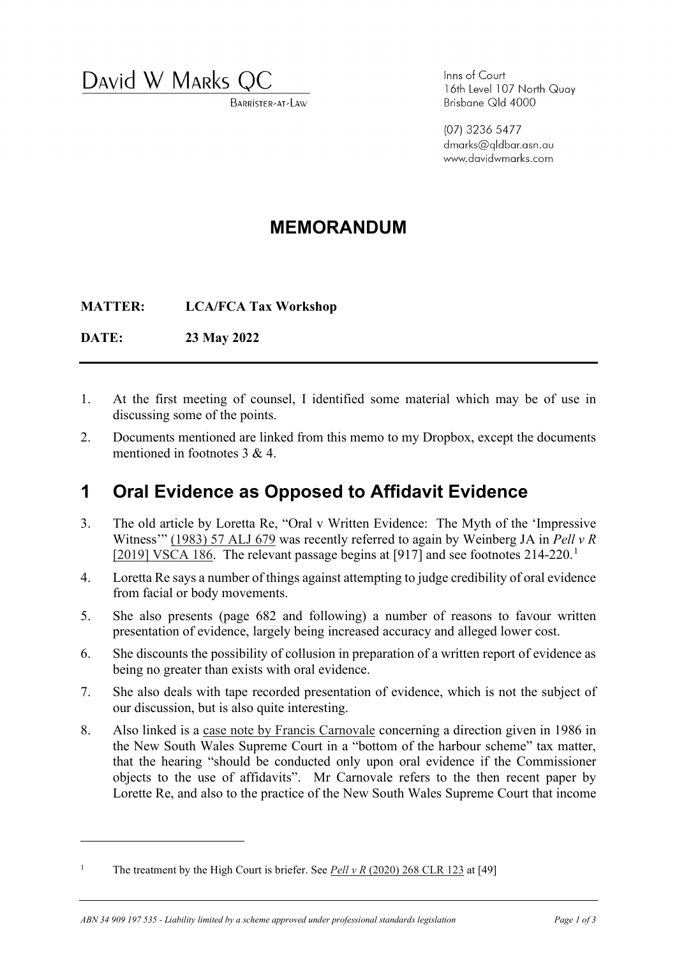David W MARKS Q

BARRISTER-AT-LAW

Inns of Court 16th Level 107 North Quay Brisbane Qld 4000

(07) 3236 5477 dmarks@gldbar.asn.au www.davidwmarks.com

## **MEMORANDUM**

**MATTER: LCA/FCA Tax Workshop** 

**DATE: 23 May 2022** 

- 1. At the first meeting of counsel, I identified some material which may be of use in discussing some of the points.
- 2. Documents mentioned are linked from this memo to my Dropbox, except the documents mentioned in footnotes 3 & 4.

## **1 Oral Evidence as Opposed to Affidavit Evidence**

- 3. The old article by Loretta Re, "Oral v Written Evidence: The Myth of the 'Impressive Witness'" (1983) 57 ALJ 679 was recently referred to again by Weinberg JA in *Pell v R* [ $2019$  $2019$  $2019$ ] VSCA 186. The relevant passage begins at [917] and see footnotes 214-220.<sup>1</sup>
- 4. Loretta Re says a number of things against attempting to judge credibility of oral evidence from facial or body movements.
- 5. She also presents (page 682 and following) a number of reasons to favour written presentation of evidence, largely being increased accuracy and alleged lower cost.
- 6. She discounts the possibility of collusion in preparation of a written report of evidence as being no greater than exists with oral evidence.
- 7. She also deals with tape recorded presentation of evidence, which is not the subject of our discussion, but is also quite interesting.
- 8. Also linked is a case note by Francis Carnovale concerning a direction given in 1986 in the New South Wales Supreme Court in a "bottom of the harbour scheme" tax matter, that the hearing "should be conducted only upon oral evidence if the Commissioner objects to the use of affidavits". Mr Carnovale refers to the then recent paper by Lorette Re, and also to the practice of the New South Wales Supreme Court that income

<span id="page-0-0"></span><sup>1</sup> The treatment by the High Court is briefer. See *Pell v R* (2020) 268 CLR 123 at [49]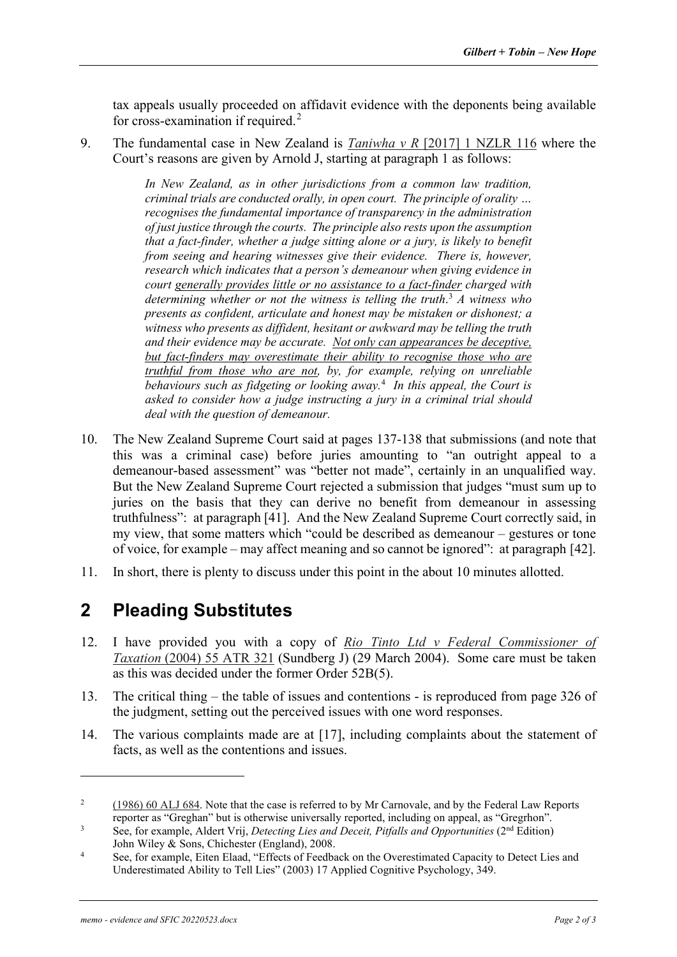tax appeals usually proceeded on affidavit evidence with the deponents being available for cross-examination if required.<sup>[2](#page-1-0)</sup>

9. The fundamental case in New Zealand is *Taniwha v R* [\[2017\] 1 NZLR 116](https://www.dropbox.com/s/tofk1yeimrodpmc/Taniwha%20v%20R%202017%201%20NZLR%20116.pdf?dl=0) where the Court's reasons are given by Arnold J, starting at paragraph 1 as follows:

> *In New Zealand, as in other jurisdictions from a common law tradition, criminal trials are conducted orally, in open court. The principle of orality … recognises the fundamental importance of transparency in the administration of just justice through the courts. The principle also rests upon the assumption that a fact-finder, whether a judge sitting alone or a jury, is likely to benefit from seeing and hearing witnesses give their evidence. There is, however, research which indicates that a person's demeanour when giving evidence in court generally provides little or no assistance to a fact-finder charged with determining whether or not the witness is telling the truth*. [3](#page-1-1) *A witness who presents as confident, articulate and honest may be mistaken or dishonest; a witness who presents as diffident, hesitant or awkward may be telling the truth and their evidence may be accurate. Not only can appearances be deceptive, but fact-finders may overestimate their ability to recognise those who are truthful from those who are not, by, for example, relying on unreliable behaviours such as fidgeting or looking away.*[4](#page-1-2)  *In this appeal, the Court is asked to consider how a judge instructing a jury in a criminal trial should deal with the question of demeanour.*

- 10. The New Zealand Supreme Court said at pages 137-138 that submissions (and note that this was a criminal case) before juries amounting to "an outright appeal to a demeanour-based assessment" was "better not made", certainly in an unqualified way. But the New Zealand Supreme Court rejected a submission that judges "must sum up to juries on the basis that they can derive no benefit from demeanour in assessing truthfulness": at paragraph [41]. And the New Zealand Supreme Court correctly said, in my view, that some matters which "could be described as demeanour – gestures or tone of voice, for example – may affect meaning and so cannot be ignored": at paragraph [42].
- 11. In short, there is plenty to discuss under this point in the about 10 minutes allotted.

### **2 Pleading Substitutes**

- 12. I have provided you with a copy of *[Rio Tinto Ltd v Federal Commissioner of](https://www.dropbox.com/s/fvhm66qqz590omb/Rio%20Tinto%20v%20FCT%20No.2%20%282004%29%2055%20ATR%20321.pdf?dl=0)  Taxation* [\(2004\) 55 ATR 321](https://www.dropbox.com/s/fvhm66qqz590omb/Rio%20Tinto%20v%20FCT%20No.2%20%282004%29%2055%20ATR%20321.pdf?dl=0) (Sundberg J) (29 March 2004). Some care must be taken as this was decided under the former Order 52B(5).
- 13. The critical thing the table of issues and contentions is reproduced from page 326 of the judgment, setting out the perceived issues with one word responses.
- 14. The various complaints made are at [17], including complaints about the statement of facts, as well as the contentions and issues.

<span id="page-1-0"></span><sup>2</sup> [\(1986\) 60 ALJ 684.](https://www.dropbox.com/s/u4h63p5jatwvydl/Carnovale%20-%20Oral%20evidence%20in%20tax%20appeals%20%281986%29_60_Australian_Law_Journal_684.pdf?dl=0) Note that the case is referred to by Mr Carnovale, and by the Federal Law Reports reporter as "Greghan" but is otherwise universally reported, including on appeal, as "Gregrhon".

<span id="page-1-1"></span><sup>3</sup> See, for example, Aldert Vrij, *Detecting Lies and Deceit, Pitfalls and Opportunities* (2nd Edition) John Wiley & Sons, Chichester (England), 2008.

<span id="page-1-2"></span><sup>4</sup> See, for example, Eiten Elaad, "Effects of Feedback on the Overestimated Capacity to Detect Lies and Underestimated Ability to Tell Lies" (2003) 17 Applied Cognitive Psychology, 349.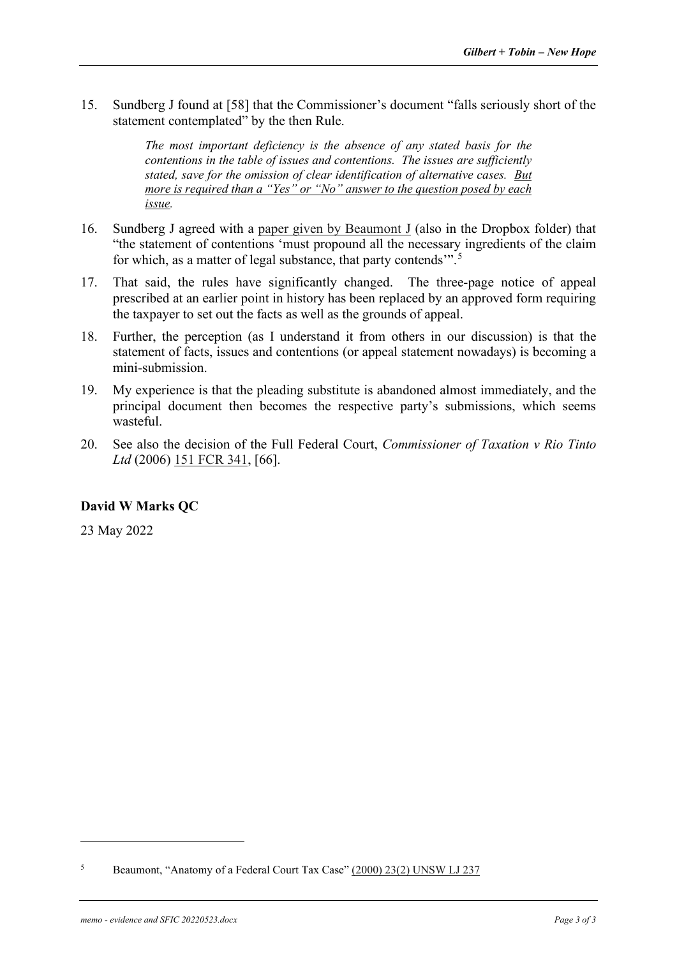15. Sundberg J found at [58] that the Commissioner's document "falls seriously short of the statement contemplated" by the then Rule.

> *The most important deficiency is the absence of any stated basis for the contentions in the table of issues and contentions. The issues are sufficiently stated, save for the omission of clear identification of alternative cases. But more is required than a "Yes" or "No" answer to the question posed by each issue.*

- 16. Sundberg J agreed with a [paper given by Beaumont J](https://www.dropbox.com/s/rrm8krdnrz2vurl/Beaumont%20-%20Anatomy%20of%20a%20Federal%20Court%20tax%20case%202000%20UNSWLJ.pdf?dl=0) (also in the Dropbox folder) that "the statement of contentions 'must propound all the necessary ingredients of the claim for which, as a matter of legal substance, that party contends".<sup>[5](#page-2-0)</sup>
- 17. That said, the rules have significantly changed. The three-page notice of appeal prescribed at an earlier point in history has been replaced by an approved form requiring the taxpayer to set out the facts as well as the grounds of appeal.
- 18. Further, the perception (as I understand it from others in our discussion) is that the statement of facts, issues and contentions (or appeal statement nowadays) is becoming a mini-submission.
- 19. My experience is that the pleading substitute is abandoned almost immediately, and the principal document then becomes the respective party's submissions, which seems wasteful.
- 20. See also the decision of the Full Federal Court, *Commissioner of Taxation v Rio Tinto*  Ltd (2006) [151 FCR 341,](https://www.dropbox.com/s/smkrz896lpdel2o/FCT%20v%20Rio%20Tinto%20%282006%29%20151%20FCR%20341.pdf?dl=0) [66].

#### **David W Marks QC**

23 May 2022

<span id="page-2-0"></span><sup>5</sup> Beaumont, "Anatomy of a Federal Court Tax Case" [\(2000\) 23\(2\) UNSW LJ 237](https://www.dropbox.com/s/rrm8krdnrz2vurl/Beaumont%20-%20Anatomy%20of%20a%20Federal%20Court%20tax%20case%202000%20UNSWLJ.pdf?dl=0)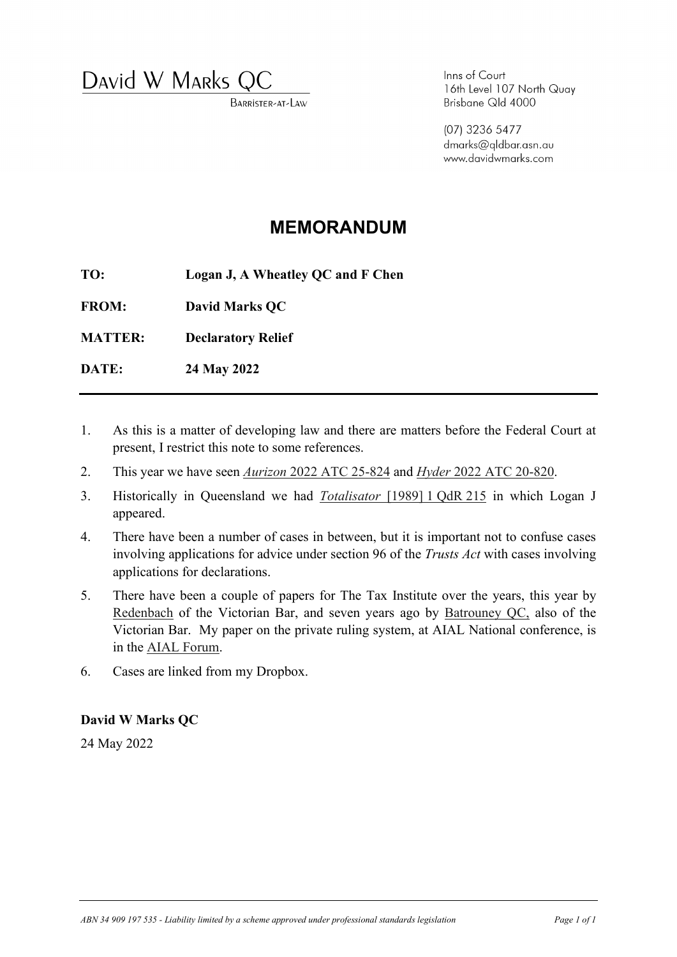David W MARKS Q

BARRISTER-AT-LAW

Inns of Court 16th Level 107 North Quay Brisbane Qld 4000

(07) 3236 5477 dmarks@gldbar.asn.au www.davidwmarks.com

## **MEMORANDUM**

**TO: Logan J, A Wheatley QC and F Chen**

**FROM: David Marks QC**

**MATTER: Declaratory Relief**

**DATE: 24 May 2022**

- 1. As this is a matter of developing law and there are matters before the Federal Court at present, I restrict this note to some references.
- 2. This year we have seen *Aurizon* [2022 ATC 25-824](https://www.dropbox.com/s/n6b5y5uo39zupwn/Aurizon%202022_ATC_20-824.pdf?dl=0) and *Hyder* [2022 ATC 20-820.](https://www.dropbox.com/s/w5bvwfiwyquwupn/Hyder%202022_ATC_20-820.pdf?dl=0)
- 3. Historically in Queensland we had *[Totalisator](https://www.dropbox.com/s/u0xzfb83iau6rjv/Totalisator%201989-1-qdr-215-500951.pdf?dl=0)* [1989] 1 QdR 215 in which Logan J appeared.
- 4. There have been a number of cases in between, but it is important not to confuse cases involving applications for advice under section 96 of the *Trusts Act* with cases involving applications for declarations.
- 5. There have been a couple of papers for The Tax Institute over the years, this year by [Redenbach](https://www.dropbox.com/s/70od5sne1waugi6/Redenbach.pdf?dl=0) of the Victorian Bar, and seven years ago by [Batrouney QC,](https://www.dropbox.com/s/7naf1vma50hy65j/Batrouney.pdf?dl=0) also of the Victorian Bar. My paper on the private ruling system, at AIAL National conference, is in the [AIAL Forum.](https://www.dropbox.com/s/uhm5vj63qwblel2/David%20W%20Marks%20QC%20-%20Proceeding%20in%20Certainty%20-%20Tax%20Rulings%202017%2089%20AIAL%20Forum%2091.pdf?dl=0)
- 6. Cases are linked from my Dropbox.

#### **David W Marks QC**

24 May 2022